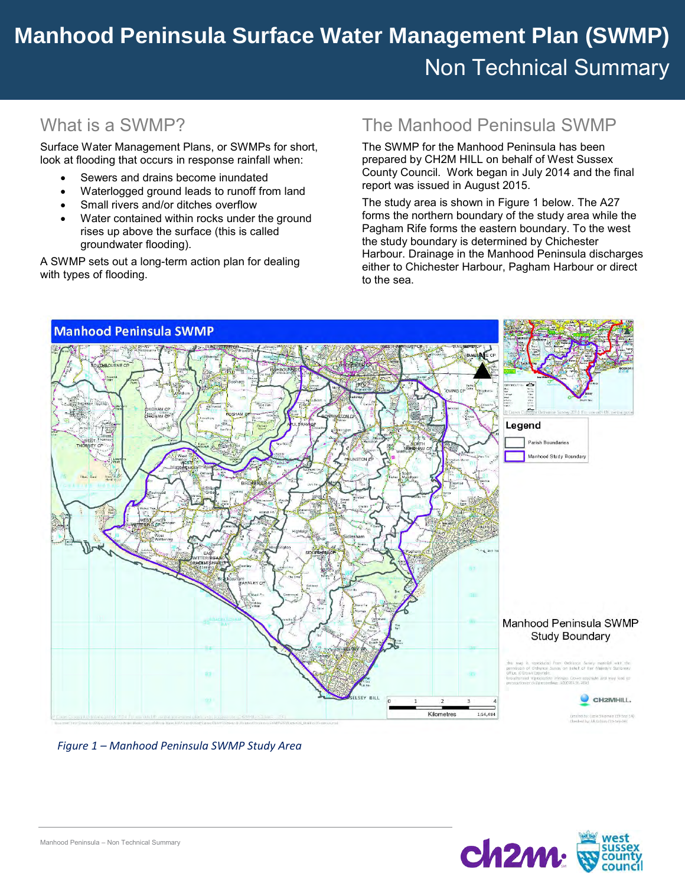# **Easebourne Surface Water Management Plan (SWMP) Manhood Peninsula Surface Water Management Plan (SWMP)** Non Technical Summary

## What is a SWMP?

Surface Water Management Plans, or SWMPs for short, look at flooding that occurs in response rainfall when:

- Sewers and drains become inundated
- Waterlogged ground leads to runoff from land
- Small rivers and/or ditches overflow
- Water contained within rocks under the ground rises up above the surface (this is called groundwater flooding).

A SWMP sets out a long-term action plan for dealing with types of flooding.

#### The Manhood Peninsula SWMP

The SWMP for the Manhood Peninsula has been prepared by CH2M HILL on behalf of West Sussex County Council. Work began in July 2014 and the final report was issued in August 2015.

The study area is shown in Figure 1 below. The A27 forms the northern boundary of the study area while the Pagham Rife forms the eastern boundary. To the west the study boundary is determined by Chichester Harbour. Drainage in the Manhood Peninsula discharges either to Chichester Harbour, Pagham Harbour or direct to the sea.



*Figure 1 – Manhood Peninsula SWMP Study Area*

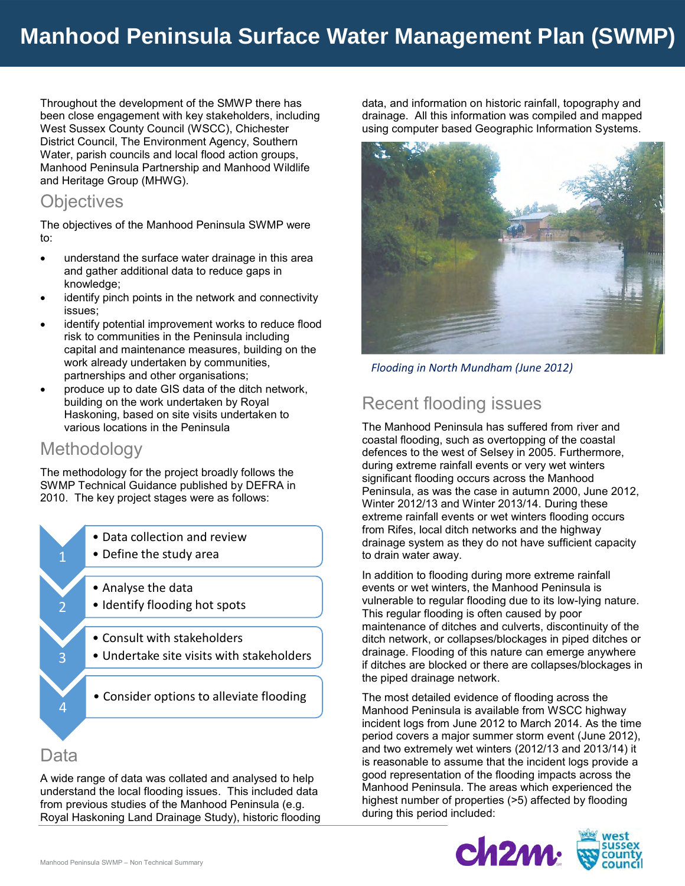Throughout the development of the SMWP there has been close engagement with key stakeholders, including West Sussex County Council (WSCC), Chichester District Council, The Environment Agency, Southern Water, parish councils and local flood action groups, Manhood Peninsula Partnership and Manhood Wildlife and Heritage Group (MHWG).

#### **Objectives**

The objectives of the Manhood Peninsula SWMP were to:

- understand the surface water drainage in this area and gather additional data to reduce gaps in knowledge;
- identify pinch points in the network and connectivity issues;
- identify potential improvement works to reduce flood risk to communities in the Peninsula including capital and maintenance measures, building on the work already undertaken by communities, partnerships and other organisations;
- produce up to date GIS data of the ditch network, building on the work undertaken by Royal Haskoning, based on site visits undertaken to various locations in the Peninsula

#### **Methodology**

The methodology for the project broadly follows the SWMP Technical Guidance published by DEFRA in 2010. The key project stages were as follows:



#### Data

A wide range of data was collated and analysed to help understand the local flooding issues. This included data from previous studies of the Manhood Peninsula (e.g. Royal Haskoning Land Drainage Study), historic flooding data, and information on historic rainfall, topography and drainage. All this information was compiled and mapped using computer based Geographic Information Systems.



*Flooding in North Mundham (June 2012)*

## Recent flooding issues

The Manhood Peninsula has suffered from river and coastal flooding, such as overtopping of the coastal defences to the west of Selsey in 2005. Furthermore, during extreme rainfall events or very wet winters significant flooding occurs across the Manhood Peninsula, as was the case in autumn 2000, June 2012, Winter 2012/13 and Winter 2013/14. During these extreme rainfall events or wet winters flooding occurs from Rifes, local ditch networks and the highway drainage system as they do not have sufficient capacity to drain water away.

In addition to flooding during more extreme rainfall events or wet winters, the Manhood Peninsula is vulnerable to regular flooding due to its low-lying nature. This regular flooding is often caused by poor maintenance of ditches and culverts, discontinuity of the ditch network, or collapses/blockages in piped ditches or drainage. Flooding of this nature can emerge anywhere if ditches are blocked or there are collapses/blockages in the piped drainage network.

The most detailed evidence of flooding across the Manhood Peninsula is available from WSCC highway incident logs from June 2012 to March 2014. As the time period covers a major summer storm event (June 2012), and two extremely wet winters (2012/13 and 2013/14) it is reasonable to assume that the incident logs provide a good representation of the flooding impacts across the Manhood Peninsula. The areas which experienced the highest number of properties (>5) affected by flooding during this period included:

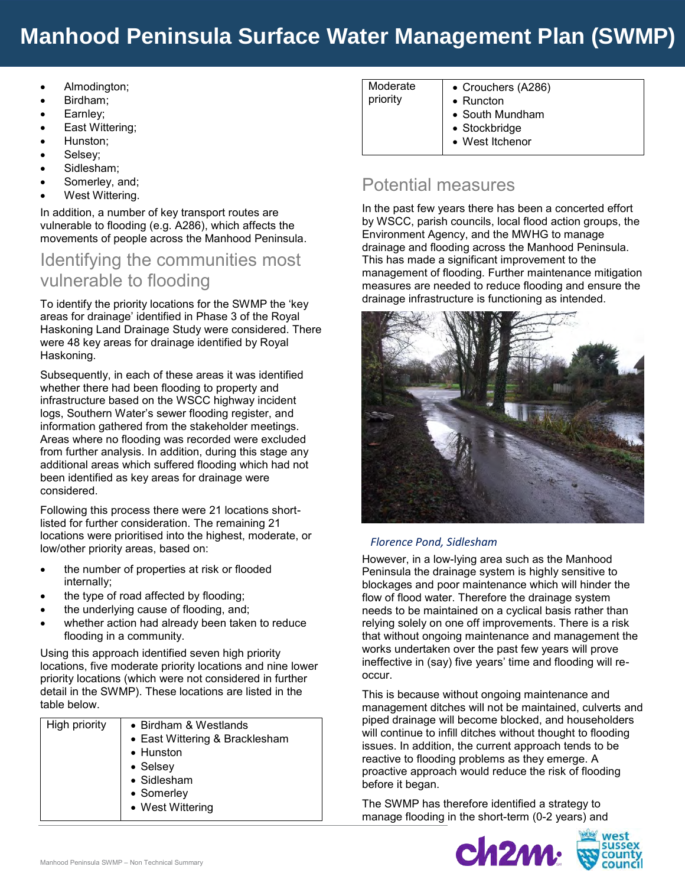## **Manhood Peninsula Surface Water Management Plan (SWMP)**

- Almodington;
- Birdham;
- Earnley;
- East Wittering;
- Hunston;
- Selsey;
- Sidlesham;
- Somerley, and;
- West Wittering.

In addition, a number of key transport routes are vulnerable to flooding (e.g. A286), which affects the movements of people across the Manhood Peninsula.

### Identifying the communities most vulnerable to flooding

To identify the priority locations for the SWMP the 'key areas for drainage' identified in Phase 3 of the Royal Haskoning Land Drainage Study were considered. There were 48 key areas for drainage identified by Royal Haskoning.

Subsequently, in each of these areas it was identified whether there had been flooding to property and infrastructure based on the WSCC highway incident logs, Southern Water's sewer flooding register, and information gathered from the stakeholder meetings. Areas where no flooding was recorded were excluded from further analysis. In addition, during this stage any additional areas which suffered flooding which had not been identified as key areas for drainage were considered.

Following this process there were 21 locations shortlisted for further consideration. The remaining 21 locations were prioritised into the highest, moderate, or low/other priority areas, based on:

- the number of properties at risk or flooded internally;
- the type of road affected by flooding;
- the underlying cause of flooding, and;
- whether action had already been taken to reduce flooding in a community.

Using this approach identified seven high priority locations, five moderate priority locations and nine lower priority locations (which were not considered in further detail in the SWMP). These locations are listed in the table below.

| • Birdham & Westlands<br>• East Wittering & Bracklesham |
|---------------------------------------------------------|
| • Hunston                                               |
| • Selsey                                                |
| • Sidlesham                                             |
| • Somerley                                              |
| • West Wittering                                        |
|                                                         |

| Moderate | • Crouchers (A286) |
|----------|--------------------|
| priority | $\bullet$ Runcton  |
|          | • South Mundham    |
|          | • Stockbridge      |
|          |                    |

West Itchenor

## Potential measures

In the past few years there has been a concerted effort by WSCC, parish councils, local flood action groups, the Environment Agency, and the MWHG to manage drainage and flooding across the Manhood Peninsula. This has made a significant improvement to the management of flooding. Further maintenance mitigation measures are needed to reduce flooding and ensure the drainage infrastructure is functioning as intended.



#### *Florence Pond, Sidlesham*

However, in a low-lying area such as the Manhood Peninsula the drainage system is highly sensitive to blockages and poor maintenance which will hinder the flow of flood water. Therefore the drainage system needs to be maintained on a cyclical basis rather than relying solely on one off improvements. There is a risk that without ongoing maintenance and management the works undertaken over the past few years will prove ineffective in (say) five years' time and flooding will reoccur.

This is because without ongoing maintenance and management ditches will not be maintained, culverts and piped drainage will become blocked, and householders will continue to infill ditches without thought to flooding issues. In addition, the current approach tends to be reactive to flooding problems as they emerge. A proactive approach would reduce the risk of flooding before it began.

The SWMP has therefore identified a strategy to manage flooding in the short-term (0-2 years) and